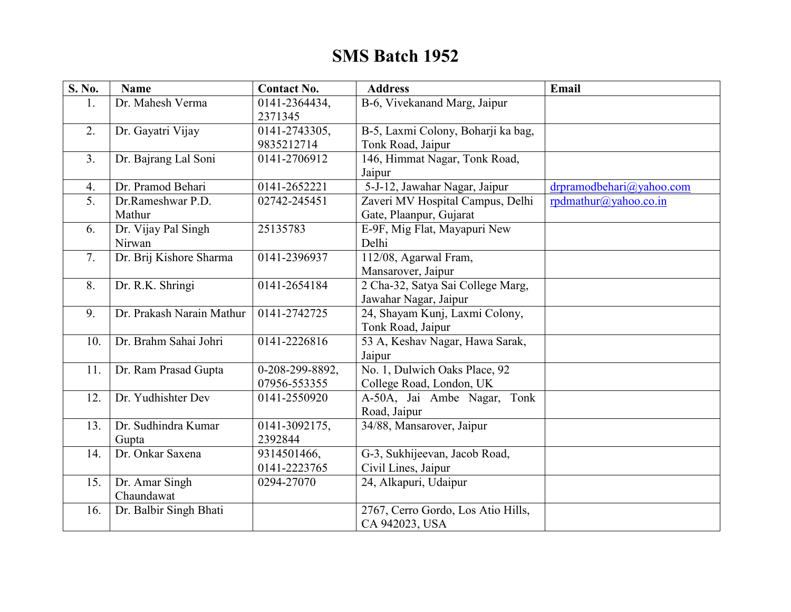## **SMS Batch 1952**

| S. No.           | <b>Name</b>               | <b>Contact No.</b>       | <b>Address</b>                          | <b>Email</b>             |
|------------------|---------------------------|--------------------------|-----------------------------------------|--------------------------|
| 1.               | Dr. Mahesh Verma          | 0141-2364434,<br>2371345 | B-6, Vivekanand Marg, Jaipur            |                          |
| 2.               | Dr. Gayatri Vijay         | 0141-2743305,            | B-5, Laxmi Colony, Boharji ka bag,      |                          |
|                  |                           | 9835212714               | Tonk Road, Jaipur                       |                          |
| 3 <sub>1</sub>   | Dr. Bajrang Lal Soni      | 0141-2706912             | 146, Himmat Nagar, Tonk Road,<br>Jaipur |                          |
| $\overline{4}$ . | Dr. Pramod Behari         | 0141-2652221             | 5-J-12, Jawahar Nagar, Jaipur           | drpramodbehari@yahoo.com |
| 5.               | Dr.Rameshwar P.D.         | 02742-245451             | Zaveri MV Hospital Campus, Delhi        | rpdmathur@yahoo.co.in    |
|                  | Mathur                    |                          | Gate, Plaanpur, Gujarat                 |                          |
| 6.               | Dr. Vijay Pal Singh       | 25135783                 | E-9F, Mig Flat, Mayapuri New            |                          |
|                  | Nirwan                    |                          | Delhi                                   |                          |
| 7.               | Dr. Brij Kishore Sharma   | 0141-2396937             | 112/08, Agarwal Fram,                   |                          |
|                  |                           |                          | Mansarover, Jaipur                      |                          |
| 8.               | Dr. R.K. Shringi          | 0141-2654184             | 2 Cha-32, Satya Sai College Marg,       |                          |
|                  |                           |                          | Jawahar Nagar, Jaipur                   |                          |
| 9.               | Dr. Prakash Narain Mathur | 0141-2742725             | 24, Shayam Kunj, Laxmi Colony,          |                          |
|                  |                           |                          | Tonk Road, Jaipur                       |                          |
| 10.              | Dr. Brahm Sahai Johri     | 0141-2226816             | 53 A, Keshav Nagar, Hawa Sarak,         |                          |
|                  |                           |                          | Jaipur                                  |                          |
| 11.              | Dr. Ram Prasad Gupta      | $0-208-299-8892$ ,       | No. 1, Dulwich Oaks Place, 92           |                          |
|                  |                           | 07956-553355             | College Road, London, UK                |                          |
| 12.              | Dr. Yudhishter Dev        | 0141-2550920             | A-50A, Jai Ambe Nagar, Tonk             |                          |
|                  |                           |                          | Road, Jaipur                            |                          |
| 13.              | Dr. Sudhindra Kumar       | 0141-3092175,            | 34/88, Mansarover, Jaipur               |                          |
|                  | Gupta                     | 2392844                  |                                         |                          |
| 14.              | Dr. Onkar Saxena          | 9314501466,              | G-3, Sukhijeevan, Jacob Road,           |                          |
|                  |                           | 0141-2223765             | Civil Lines, Jaipur                     |                          |
| 15.              | Dr. Amar Singh            | 0294-27070               | 24, Alkapuri, Udaipur                   |                          |
|                  | Chaundawat                |                          |                                         |                          |
| 16.              | Dr. Balbir Singh Bhati    |                          | 2767, Cerro Gordo, Los Atio Hills,      |                          |
|                  |                           |                          | CA 942023, USA                          |                          |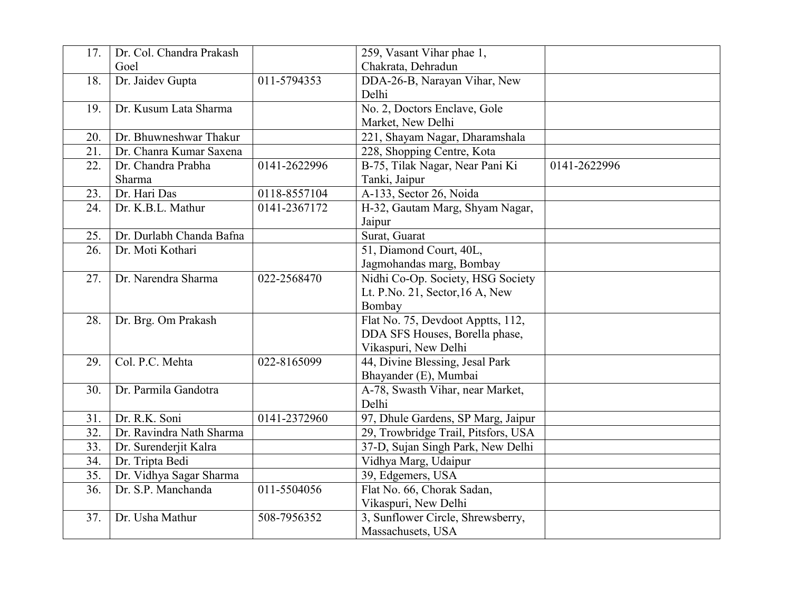| 17.               | Dr. Col. Chandra Prakash |              | 259, Vasant Vihar phae 1,           |              |
|-------------------|--------------------------|--------------|-------------------------------------|--------------|
|                   | Goel                     |              | Chakrata, Dehradun                  |              |
| 18.               | Dr. Jaidev Gupta         | 011-5794353  | DDA-26-B, Narayan Vihar, New        |              |
|                   |                          |              | Delhi                               |              |
| 19.               | Dr. Kusum Lata Sharma    |              | No. 2, Doctors Enclave, Gole        |              |
|                   |                          |              | Market, New Delhi                   |              |
| 20.               | Dr. Bhuwneshwar Thakur   |              | 221, Shayam Nagar, Dharamshala      |              |
| 21.               | Dr. Chanra Kumar Saxena  |              | 228, Shopping Centre, Kota          |              |
| 22.               | Dr. Chandra Prabha       | 0141-2622996 | B-75, Tilak Nagar, Near Pani Ki     | 0141-2622996 |
|                   | Sharma                   |              | Tanki, Jaipur                       |              |
| 23.               | Dr. Hari Das             | 0118-8557104 | A-133, Sector 26, Noida             |              |
| 24.               | Dr. K.B.L. Mathur        | 0141-2367172 | H-32, Gautam Marg, Shyam Nagar,     |              |
|                   |                          |              | Jaipur                              |              |
| 25.               | Dr. Durlabh Chanda Bafna |              | Surat, Guarat                       |              |
| 26.               | Dr. Moti Kothari         |              | 51, Diamond Court, 40L,             |              |
|                   |                          |              | Jagmohandas marg, Bombay            |              |
| 27.               | Dr. Narendra Sharma      | 022-2568470  | Nidhi Co-Op. Society, HSG Society   |              |
|                   |                          |              | Lt. P.No. 21, Sector, 16 A, New     |              |
|                   |                          |              | Bombay                              |              |
| 28.               | Dr. Brg. Om Prakash      |              | Flat No. 75, Devdoot Apptts, 112,   |              |
|                   |                          |              | DDA SFS Houses, Borella phase,      |              |
|                   |                          |              | Vikaspuri, New Delhi                |              |
| 29.               | Col. P.C. Mehta          | 022-8165099  | 44, Divine Blessing, Jesal Park     |              |
|                   |                          |              | Bhayander (E), Mumbai               |              |
| 30.               | Dr. Parmila Gandotra     |              | A-78, Swasth Vihar, near Market,    |              |
|                   |                          |              | Delhi                               |              |
| 31.               | Dr. R.K. Soni            | 0141-2372960 | 97, Dhule Gardens, SP Marg, Jaipur  |              |
| 32.               | Dr. Ravindra Nath Sharma |              | 29, Trowbridge Trail, Pitsfors, USA |              |
| 33.               | Dr. Surenderjit Kalra    |              | 37-D, Sujan Singh Park, New Delhi   |              |
| 34.               | Dr. Tripta Bedi          |              | Vidhya Marg, Udaipur                |              |
| 35.               | Dr. Vidhya Sagar Sharma  |              | 39, Edgemers, USA                   |              |
| $\overline{36}$ . | Dr. S.P. Manchanda       | 011-5504056  | Flat No. 66, Chorak Sadan,          |              |
|                   |                          |              | Vikaspuri, New Delhi                |              |
| 37.               | Dr. Usha Mathur          | 508-7956352  | 3, Sunflower Circle, Shrewsberry,   |              |
|                   |                          |              | Massachusets, USA                   |              |